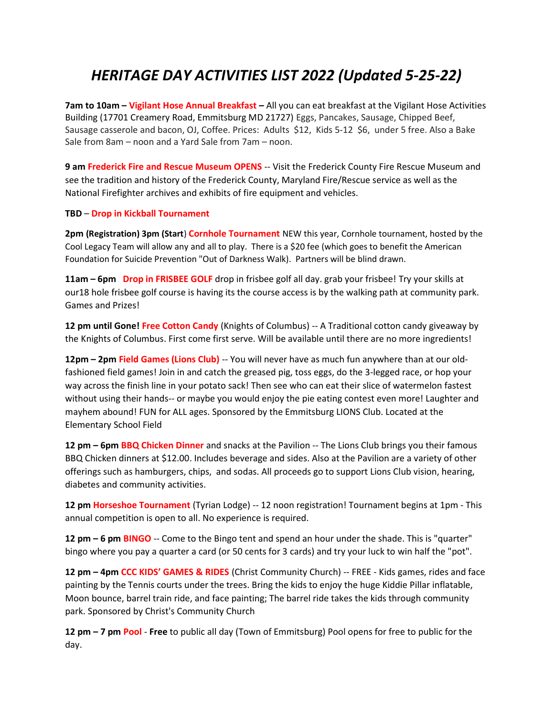## HERITAGE DAY ACTIVITIES LIST 2022 (Updated 5-25-22)

7am to 10am – Vigilant Hose Annual Breakfast – All you can eat breakfast at the Vigilant Hose Activities Building (17701 Creamery Road, Emmitsburg MD 21727) Eggs, Pancakes, Sausage, Chipped Beef, Sausage casserole and bacon, OJ, Coffee. Prices: Adults \$12, Kids 5-12 \$6, under 5 free. Also a Bake Sale from 8am – noon and a Yard Sale from 7am – noon.

9 am Frederick Fire and Rescue Museum OPENS -- Visit the Frederick County Fire Rescue Museum and see the tradition and history of the Frederick County, Maryland Fire/Rescue service as well as the National Firefighter archives and exhibits of fire equipment and vehicles.

## TBD – Drop in Kickball Tournament

2pm (Registration) 3pm (Start) Cornhole Tournament NEW this year, Cornhole tournament, hosted by the Cool Legacy Team will allow any and all to play. There is a \$20 fee (which goes to benefit the American Foundation for Suicide Prevention "Out of Darkness Walk). Partners will be blind drawn.

11am – 6pm Drop in FRISBEE GOLF drop in frisbee golf all day. grab your frisbee! Try your skills at our18 hole frisbee golf course is having its the course access is by the walking path at community park. Games and Prizes!

12 pm until Gone! Free Cotton Candy (Knights of Columbus) -- A Traditional cotton candy giveaway by the Knights of Columbus. First come first serve. Will be available until there are no more ingredients!

12pm – 2pm Field Games (Lions Club) -- You will never have as much fun anywhere than at our oldfashioned field games! Join in and catch the greased pig, toss eggs, do the 3-legged race, or hop your way across the finish line in your potato sack! Then see who can eat their slice of watermelon fastest without using their hands-- or maybe you would enjoy the pie eating contest even more! Laughter and mayhem abound! FUN for ALL ages. Sponsored by the Emmitsburg LIONS Club. Located at the Elementary School Field

12 pm – 6pm BBQ Chicken Dinner and snacks at the Pavilion -- The Lions Club brings you their famous BBQ Chicken dinners at \$12.00. Includes beverage and sides. Also at the Pavilion are a variety of other offerings such as hamburgers, chips, and sodas. All proceeds go to support Lions Club vision, hearing, diabetes and community activities.

12 pm Horseshoe Tournament (Tyrian Lodge) -- 12 noon registration! Tournament begins at 1pm - This annual competition is open to all. No experience is required.

12 pm – 6 pm BINGO -- Come to the Bingo tent and spend an hour under the shade. This is "quarter" bingo where you pay a quarter a card (or 50 cents for 3 cards) and try your luck to win half the "pot".

12 pm - 4pm CCC KIDS' GAMES & RIDES (Christ Community Church) -- FREE - Kids games, rides and face painting by the Tennis courts under the trees. Bring the kids to enjoy the huge Kiddie Pillar inflatable, Moon bounce, barrel train ride, and face painting; The barrel ride takes the kids through community park. Sponsored by Christ's Community Church

12 pm – 7 pm Pool - Free to public all day (Town of Emmitsburg) Pool opens for free to public for the day.